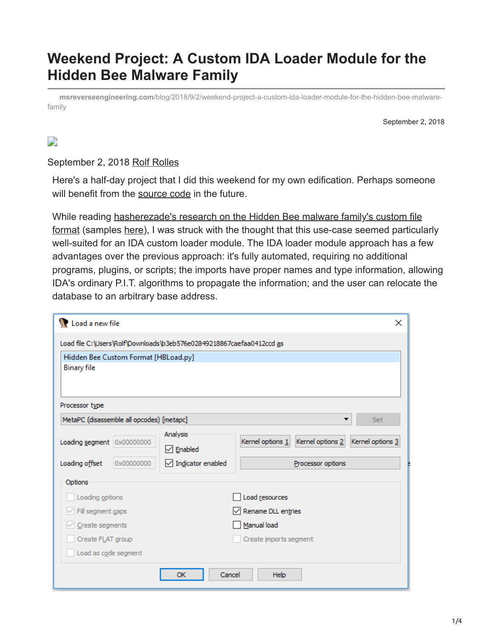# **Weekend Project: A Custom IDA Loader Module for the Hidden Bee Malware Family**

**msreverseengineering.com**[/blog/2018/9/2/weekend-project-a-custom-ida-loader-module-for-the-hidden-bee-malware](https://www.msreverseengineering.com/blog/2018/9/2/weekend-project-a-custom-ida-loader-module-for-the-hidden-bee-malware-family)family

September 2, 2018

#### $\Box$

September 2, 2018 [Rolf Rolles](http://10.10.0.46/blog?author=5111cf9ee4b0a36262da10df)

Here's a half-day project that I did this weekend for my own edification. Perhaps someone will benefit from the [source code](https://github.com/RolfRolles/HiddenBeeLoader/blob/master/HBLoad.py) in the future.

While reading hasherezade's research on the Hidden Bee malware family's custom file [format \(samples here\), I was struck with the thought that this use-case seemed particul](https://blog.malwarebytes.com/threat-analysis/2018/08/reversing-malware-in-a-custom-format-hidden-bee-elements/)arly well-suited for an IDA custom loader module. The IDA loader module approach has a few advantages over the previous approach: it's fully automated, requiring no additional programs, plugins, or scripts; the imports have proper names and type information, allowing IDA's ordinary P.I.T. algorithms to propagate the information; and the user can relocate the database to an arbitrary base address.

| Load a new file                                                       | $\times$                                                 |  |  |  |  |  |  |  |
|-----------------------------------------------------------------------|----------------------------------------------------------|--|--|--|--|--|--|--|
| Load file C:\Users\Rolf\Downloads\b3eb576e02849218867caefaa0412ccd as |                                                          |  |  |  |  |  |  |  |
| Hidden Bee Custom Format [HBLoad.py]                                  |                                                          |  |  |  |  |  |  |  |
| <b>Binary file</b>                                                    |                                                          |  |  |  |  |  |  |  |
|                                                                       |                                                          |  |  |  |  |  |  |  |
| Processor type                                                        |                                                          |  |  |  |  |  |  |  |
|                                                                       |                                                          |  |  |  |  |  |  |  |
| MetaPC (disassemble all opcodes) [metapc]<br>Set<br>▼                 |                                                          |  |  |  |  |  |  |  |
| Analysis<br>Loading segment 0x00000000                                | Kernel options 2<br>Kernel options 1<br>Kernel options 3 |  |  |  |  |  |  |  |
| $\boxdot$ Enabled                                                     |                                                          |  |  |  |  |  |  |  |
| $\sqrt{}$ Indicator enabled<br>Loading offset<br>0x00000000           | Processor options                                        |  |  |  |  |  |  |  |
| Options                                                               |                                                          |  |  |  |  |  |  |  |
| Loading options                                                       | Load resources                                           |  |  |  |  |  |  |  |
| $\vee$ Fill segment gaps                                              | Rename DLL entries                                       |  |  |  |  |  |  |  |
| Create segments                                                       | Manual load                                              |  |  |  |  |  |  |  |
| Create FLAT group                                                     | Create imports segment                                   |  |  |  |  |  |  |  |
| Load as code segment                                                  |                                                          |  |  |  |  |  |  |  |
| OK                                                                    | Cancel<br><b>Help</b>                                    |  |  |  |  |  |  |  |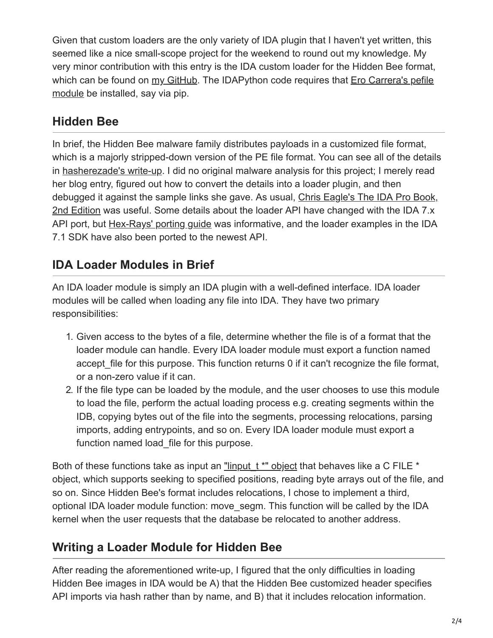Given that custom loaders are the only variety of IDA plugin that I haven't yet written, this seemed like a nice small-scope project for the weekend to round out my knowledge. My very minor contribution with this entry is the IDA custom loader for the Hidden Bee format, [which can be found on](https://github.com/erocarrera/pefile) [my GitHu](https://github.com/RolfRolles/HiddenBeeLoader/blob/master/HBLoad.py)[b. The IDAPython code requires that Ero Carrera's pefile](https://github.com/erocarrera/pefile) module be installed, say via pip.

### **Hidden Bee**

In brief, the Hidden Bee malware family distributes payloads in a customized file format, which is a majorly stripped-down version of the PE file format. You can see all of the details in [hasherezade's write-up](https://blog.malwarebytes.com/threat-analysis/2018/08/reversing-malware-in-a-custom-format-hidden-bee-elements/). I did no original malware analysis for this project; I merely read her blog entry, figured out how to convert the details into a loader plugin, and then [debugged it against the sample links she gave. As usual, Chris Eagle's The IDA Pro Book,](https://nostarch.com/idapro2.htm) 2nd Edition was useful. Some details about the loader API have changed with the IDA 7.x API port, but [Hex-Rays' porting guide](https://www.hex-rays.com/products/ida/7.0/docs/api70_porting_guide.shtml) was informative, and the loader examples in the IDA 7.1 SDK have also been ported to the newest API.

## **IDA Loader Modules in Brief**

An IDA loader module is simply an IDA plugin with a well-defined interface. IDA loader modules will be called when loading any file into IDA. They have two primary responsibilities:

- 1. Given access to the bytes of a file, determine whether the file is of a format that the loader module can handle. Every IDA loader module must export a function named accept file for this purpose. This function returns 0 if it can't recognize the file format, or a non-zero value if it can.
- 2. If the file type can be loaded by the module, and the user chooses to use this module to load the file, perform the actual loading process e.g. creating segments within the IDB, copying bytes out of the file into the segments, processing relocations, parsing imports, adding entrypoints, and so on. Every IDA loader module must export a function named load file for this purpose.

Both of these functions take as input an "linput  $t$  \*" object that behaves like a C FILE  $*$ object, which supports seeking to specified positions, reading byte arrays out of the file, and so on. Since Hidden Bee's format includes relocations, I chose to implement a third, optional IDA loader module function: move\_segm. This function will be called by the IDA kernel when the user requests that the database be relocated to another address.

## **Writing a Loader Module for Hidden Bee**

After reading the aforementioned write-up, I figured that the only difficulties in loading Hidden Bee images in IDA would be A) that the Hidden Bee customized header specifies API imports via hash rather than by name, and B) that it includes relocation information.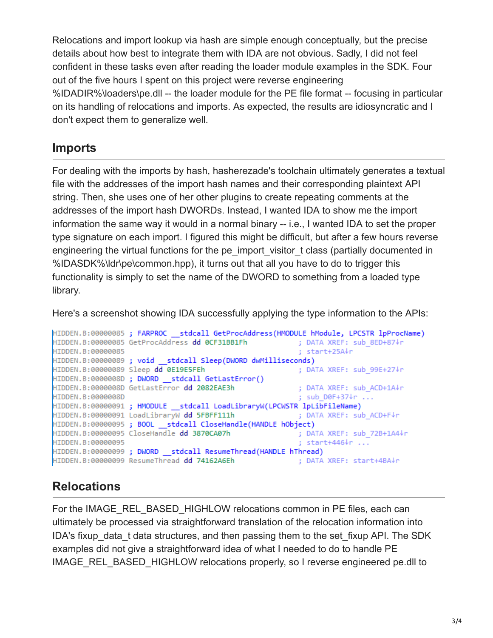Relocations and import lookup via hash are simple enough conceptually, but the precise details about how best to integrate them with IDA are not obvious. Sadly, I did not feel confident in these tasks even after reading the loader module examples in the SDK. Four out of the five hours I spent on this project were reverse engineering %IDADIR%\loaders\pe.dll -- the loader module for the PE file format -- focusing in particular on its handling of relocations and imports. As expected, the results are idiosyncratic and I don't expect them to generalize well.

#### **Imports**

For dealing with the imports by hash, hasherezade's toolchain ultimately generates a textual file with the addresses of the import hash names and their corresponding plaintext API string. Then, she uses one of her other plugins to create repeating comments at the addresses of the import hash DWORDs. Instead, I wanted IDA to show me the import information the same way it would in a normal binary -- i.e., I wanted IDA to set the proper type signature on each import. I figured this might be difficult, but after a few hours reverse engineering the virtual functions for the pe import visitor t class (partially documented in %IDASDK%\ldr\pe\common.hpp), it turns out that all you have to do to trigger this functionality is simply to set the name of the DWORD to something from a loaded type library.

Here's a screenshot showing IDA successfully applying the type information to the APIs:

```
HIDDEN.B:00000085; FARPROC stdcall GetProcAddress(HMODULE hModule, LPCSTR lpProcName)
                                                         ; DATA XREF: sub 8ED+87↓r
HIDDEN.B:00000085 GetProcAddress dd 0CF31BB1Fh
                                                         ; start+25A↓r
HIDDEN.B:00000085
HIDDEN.B:00000089; void stdcall Sleep(DWORD dwMilliseconds)
HIDDEN.B:00000089 Sleep dd 0E19E5FEh
                                                         ; DATA XREF: sub 99E+27↓r
HIDDEN.B:0000008D ; DWORD __stdcall GetLastError()
HIDDEN.B:0000008D GetLastError dd 2082EAE3h
                                                         ; DATA XREF: sub ACD+1A↓r
HIDDEN.B:0000008D
                                                         ; sub D0F+37+r ...
HIDDEN.B:00000091 ; HMODULE stdcall LoadLibraryW(LPCWSTR lpLibFileName)
HIDDEN.B:00000091 LoadLibraryW dd 5FBFF111h
                                                         ; DATA XREF: sub ACD+F↓r
HIDDEN.B:00000095 ; BOOL __ stdcall CloseHandle(HANDLE hObject)
HIDDEN.B:00000095 CloseHandle dd 3870CA07h
                                                         ; DATA XREF: sub 72B+1A4↓r
HIDDEN.B:00000095
                                                         ; start+446↓r ...
HIDDEN.B:00000099 ; DWORD __ stdcall ResumeThread(HANDLE hThread)
HIDDEN.B:00000099 ResumeThread dd 74162A6Eh
                                                        ; DATA XREF: start+4BA↓r
```
### **Relocations**

For the IMAGE\_REL\_BASED\_HIGHLOW relocations common in PE files, each can ultimately be processed via straightforward translation of the relocation information into IDA's fixup data t data structures, and then passing them to the set fixup API. The SDK examples did not give a straightforward idea of what I needed to do to handle PE IMAGE\_REL\_BASED\_HIGHLOW relocations properly, so I reverse engineered pe.dll to